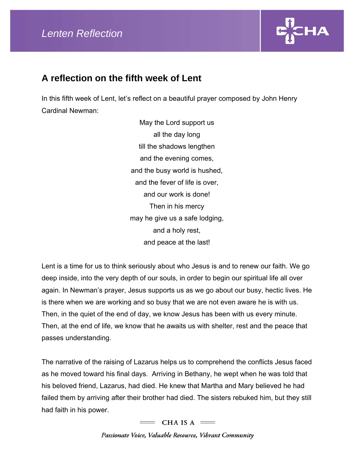

## **A reflection on the fifth week of Lent**

In this fifth week of Lent, let's reflect on a beautiful prayer composed by John Henry Cardinal Newman:

> May the Lord support us all the day long till the shadows lengthen and the evening comes, and the busy world is hushed, and the fever of life is over, and our work is done! Then in his mercy may he give us a safe lodging, and a holy rest, and peace at the last!

Lent is a time for us to think seriously about who Jesus is and to renew our faith. We go deep inside, into the very depth of our souls, in order to begin our spiritual life all over again. In Newman's prayer, Jesus supports us as we go about our busy, hectic lives. He is there when we are working and so busy that we are not even aware he is with us. Then, in the quiet of the end of day, we know Jesus has been with us every minute. Then, at the end of life, we know that he awaits us with shelter, rest and the peace that passes understanding.

The narrative of the raising of Lazarus helps us to comprehend the conflicts Jesus faced as he moved toward his final days. Arriving in Bethany, he wept when he was told that his beloved friend, Lazarus, had died. He knew that Martha and Mary believed he had failed them by arriving after their brother had died. The sisters rebuked him, but they still had faith in his power.

 $=$  CHA IS A  $=$ 

Passionate Voice, Valuable Resource, Vibrant Community